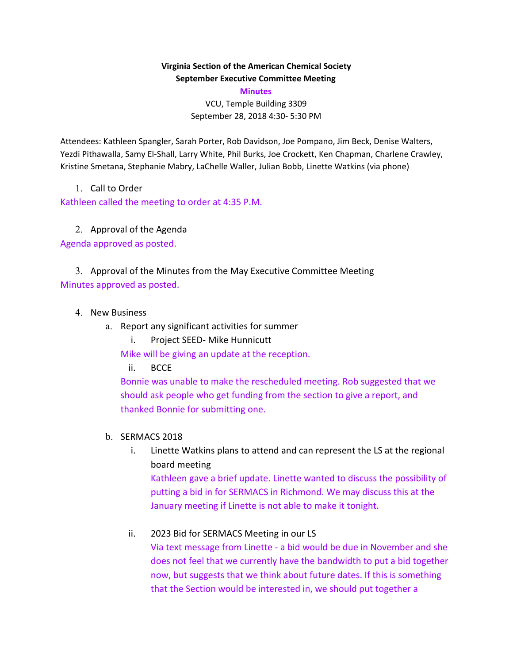### **Virginia Section of the American Chemical Society September Executive Committee Meeting**

**Minutes**

VCU, Temple Building 3309 September 28, 2018 4:30- 5:30 PM

Attendees: Kathleen Spangler, Sarah Porter, Rob Davidson, Joe Pompano, Jim Beck, Denise Walters, Yezdi Pithawalla, Samy El-Shall, Larry White, Phil Burks, Joe Crockett, Ken Chapman, Charlene Crawley, Kristine Smetana, Stephanie Mabry, LaChelle Waller, Julian Bobb, Linette Watkins (via phone)

1. Call to Order

Kathleen called the meeting to order at 4:35 P.M.

2. Approval of the Agenda

Agenda approved as posted.

3. Approval of the Minutes from the May Executive Committee Meeting Minutes approved as posted.

- 4. New Business
	- a. Report any significant activities for summer
		- i. Project SEED- Mike Hunnicutt

Mike will be giving an update at the reception.

ii. BCCE

Bonnie was unable to make the rescheduled meeting. Rob suggested that we should ask people who get funding from the section to give a report, and thanked Bonnie for submitting one.

### b. SERMACS 2018

i. Linette Watkins plans to attend and can represent the LS at the regional board meeting

Kathleen gave a brief update. Linette wanted to discuss the possibility of putting a bid in for SERMACS in Richmond. We may discuss this at the January meeting if Linette is not able to make it tonight.

### ii. 2023 Bid for SERMACS Meeting in our LS

Via text message from Linette - a bid would be due in November and she does not feel that we currently have the bandwidth to put a bid together now, but suggests that we think about future dates. If this is something that the Section would be interested in, we should put together a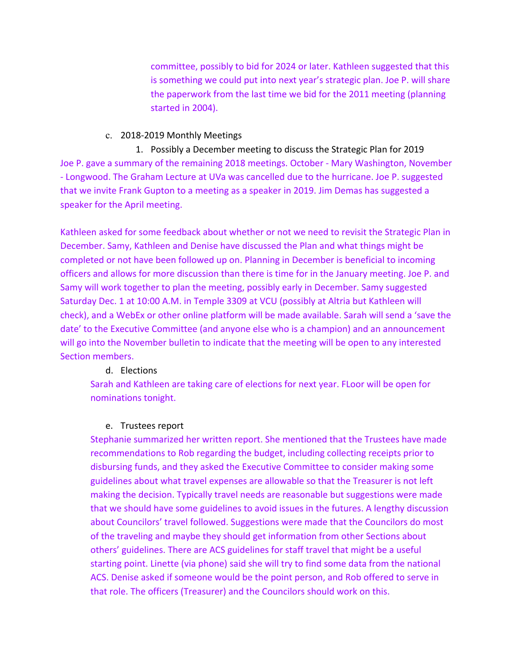committee, possibly to bid for 2024 or later. Kathleen suggested that this is something we could put into next year's strategic plan. Joe P. will share the paperwork from the last time we bid for the 2011 meeting (planning started in 2004).

#### c. 2018-2019 Monthly Meetings

1. Possibly a December meeting to discuss the Strategic Plan for 2019 Joe P. gave a summary of the remaining 2018 meetings. October - Mary Washington, November - Longwood. The Graham Lecture at UVa was cancelled due to the hurricane. Joe P. suggested that we invite Frank Gupton to a meeting as a speaker in 2019. Jim Demas has suggested a speaker for the April meeting.

Kathleen asked for some feedback about whether or not we need to revisit the Strategic Plan in December. Samy, Kathleen and Denise have discussed the Plan and what things might be completed or not have been followed up on. Planning in December is beneficial to incoming officers and allows for more discussion than there is time for in the January meeting. Joe P. and Samy will work together to plan the meeting, possibly early in December. Samy suggested Saturday Dec. 1 at 10:00 A.M. in Temple 3309 at VCU (possibly at Altria but Kathleen will check), and a WebEx or other online platform will be made available. Sarah will send a 'save the date' to the Executive Committee (and anyone else who is a champion) and an announcement will go into the November bulletin to indicate that the meeting will be open to any interested Section members.

#### d. Elections

Sarah and Kathleen are taking care of elections for next year. FLoor will be open for nominations tonight.

### e. Trustees report

Stephanie summarized her written report. She mentioned that the Trustees have made recommendations to Rob regarding the budget, including collecting receipts prior to disbursing funds, and they asked the Executive Committee to consider making some guidelines about what travel expenses are allowable so that the Treasurer is not left making the decision. Typically travel needs are reasonable but suggestions were made that we should have some guidelines to avoid issues in the futures. A lengthy discussion about Councilors' travel followed. Suggestions were made that the Councilors do most of the traveling and maybe they should get information from other Sections about others' guidelines. There are ACS guidelines for staff travel that might be a useful starting point. Linette (via phone) said she will try to find some data from the national ACS. Denise asked if someone would be the point person, and Rob offered to serve in that role. The officers (Treasurer) and the Councilors should work on this.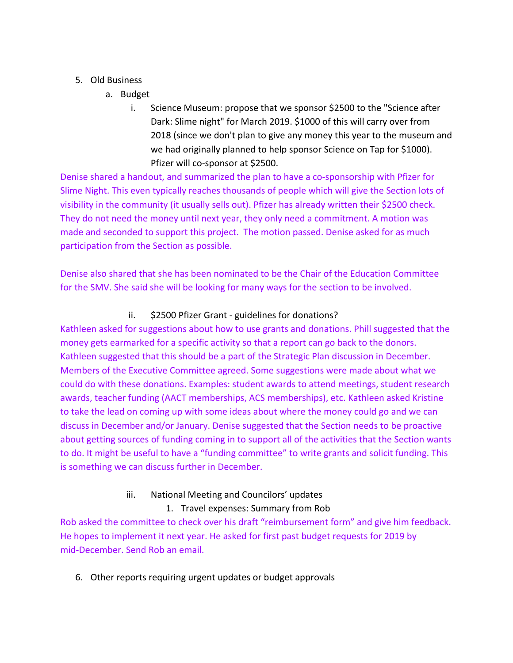## 5. Old Business

- a. Budget
	- i. Science Museum: propose that we sponsor \$2500 to the "Science after Dark: Slime night" for March 2019. \$1000 of this will carry over from 2018 (since we don't plan to give any money this year to the museum and we had originally planned to help sponsor Science on Tap for \$1000). Pfizer will co-sponsor at \$2500.

Denise shared a handout, and summarized the plan to have a co-sponsorship with Pfizer for Slime Night. This even typically reaches thousands of people which will give the Section lots of visibility in the community (it usually sells out). Pfizer has already written their \$2500 check. They do not need the money until next year, they only need a commitment. A motion was made and seconded to support this project. The motion passed. Denise asked for as much participation from the Section as possible.

Denise also shared that she has been nominated to be the Chair of the Education Committee for the SMV. She said she will be looking for many ways for the section to be involved.

## ii. \$2500 Pfizer Grant - guidelines for donations?

Kathleen asked for suggestions about how to use grants and donations. Phill suggested that the money gets earmarked for a specific activity so that a report can go back to the donors. Kathleen suggested that this should be a part of the Strategic Plan discussion in December. Members of the Executive Committee agreed. Some suggestions were made about what we could do with these donations. Examples: student awards to attend meetings, student research awards, teacher funding (AACT memberships, ACS memberships), etc. Kathleen asked Kristine to take the lead on coming up with some ideas about where the money could go and we can discuss in December and/or January. Denise suggested that the Section needs to be proactive about getting sources of funding coming in to support all of the activities that the Section wants to do. It might be useful to have a "funding committee" to write grants and solicit funding. This is something we can discuss further in December.

# iii. National Meeting and Councilors' updates

# 1. Travel expenses: Summary from Rob

Rob asked the committee to check over his draft "reimbursement form" and give him feedback. He hopes to implement it next year. He asked for first past budget requests for 2019 by mid-December. Send Rob an email.

6. Other reports requiring urgent updates or budget approvals